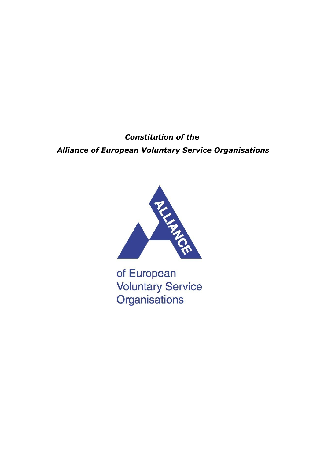*Constitution of the Alliance of European Voluntary Service Organisations*



of European **Voluntary Service** Organisations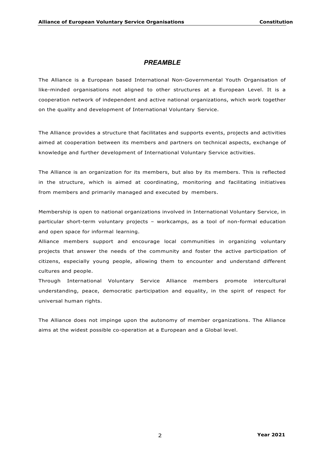### *PREAMBLE*

The Alliance is a European based International Non-Governmental Youth Organisation of like-minded organisations not aligned to other structures at a European Level. It is a cooperation network of independent and active national organizations, which work together on the quality and development of International Voluntary Service.

The Alliance provides a structure that facilitates and supports events, projects and activities aimed at cooperation between its members and partners on technical aspects, exchange of knowledge and further development of International Voluntary Service activities.

The Alliance is an organization for its members, but also by its members. This is reflected in the structure, which is aimed at coordinating, monitoring and facilitating initiatives from members and primarily managed and executed by members.

Membership is open to national organizations involved in International Voluntary Service, in particular short-term voluntary projects – workcamps, as a tool of non-formal education and open space for informal learning.

Alliance members support and encourage local communities in organizing voluntary projects that answer the needs of the community and foster the active participation of citizens, especially young people, allowing them to encounter and understand different cultures and people.

Through International Voluntary Service Alliance members promote intercultural understanding, peace, democratic participation and equality, in the spirit of respect for universal human rights.

The Alliance does not impinge upon the autonomy of member organizations. The Alliance aims at the widest possible co-operation at a European and a Global level.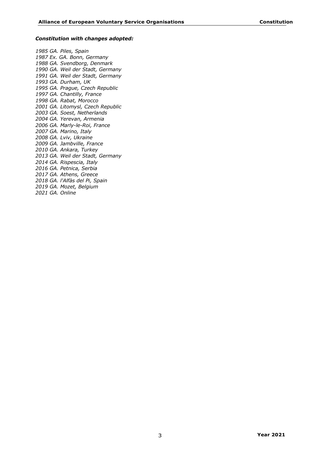#### *Constitution with changes adopted:*

*1985 GA. Piles, Spain 1987 Ex. GA. Bonn, Germany 1988 GA. Svendborg, Denmark 1990 GA. Weil der Stadt, Germany 1991 GA. Weil der Stadt, Germany 1993 GA. Durham, UK 1995 GA. Prague, Czech Republic 1997 GA. Chantilly, France 1998 GA. Rabat, Morocco 2001 GA. Litomysl, Czech Republic 2003 GA. Soest, Netherlands 2004 GA. Yerevan, Armenia 2006 GA. Marly-le-Roi, France 2007 GA. Marino, Italy 2008 GA. Lviv, Ukraine 2009 GA. Jambville, France 2010 GA. Ankara, Turkey 2013 GA. Weil der Stadt, Germany 2014 GA. Rispescia, Italy 2016 GA. Petnica, Serbia 2017 GA. Athens, Greece 2018 GA. l'Alfàs del Pi, Spain 2019 GA. Mozet, Belgium 2021 GA. Online*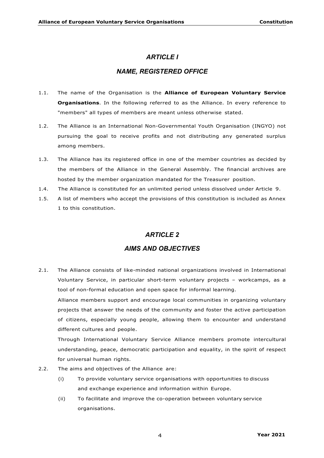### *ARTICLE I*

## *NAME, REGISTERED OFFICE*

- 1.1. The name of the Organisation is the **Alliance of European Voluntary Service Organisations**. In the following referred to as the Alliance. In every reference to "members" all types of members are meant unless otherwise stated.
- 1.2. The Alliance is an International Non-Governmental Youth Organisation (INGYO) not pursuing the goal to receive profits and not distributing any generated surplus among members.
- 1.3. The Alliance has its registered office in one of the member countries as decided by the members of the Alliance in the General Assembly. The financial archives are hosted by the member organization mandated for the Treasurer position.
- 1.4. The Alliance is constituted for an unlimited period unless dissolved under Article 9.
- 1.5. A list of members who accept the provisions of this constitution is included as Annex 1 to this constitution.

### *ARTICLE 2*

### *AIMS AND OBJECTIVES*

2.1. The Alliance consists of like-minded national organizations involved in International Voluntary Service, in particular short-term voluntary projects – workcamps, as a tool of non-formal education and open space for informal learning.

Alliance members support and encourage local communities in organizing voluntary projects that answer the needs of the community and foster the active participation of citizens, especially young people, allowing them to encounter and understand different cultures and people.

Through International Voluntary Service Alliance members promote intercultural understanding, peace, democratic participation and equality, in the spirit of respect for universal human rights.

- 2.2. The aims and objectives of the Alliance are:
	- (i) To provide voluntary service organisations with opportunities to discuss and exchange experience and information within Europe.
	- (ii) To facilitate and improve the co-operation between voluntary service organisations.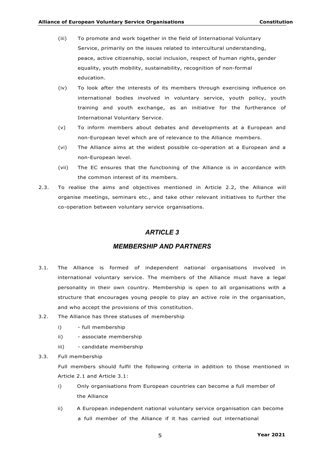- (iii) To promote and work together in the field of International Voluntary Service, primarily on the issues related to intercultural understanding, peace, active citizenship, social inclusion, respect of human rights, gender equality, youth mobility, sustainability, recognition of non-formal education.
- (iv) To look after the interests of its members through exercising influence on international bodies involved in voluntary service, youth policy, youth training and youth exchange, as an initiative for the furtherance of International Voluntary Service.
- (v) To inform members about debates and developments at a European and non-European level which are of relevance to the Alliance members.
- (vi) The Alliance aims at the widest possible co-operation at a European and a non-European level.
- (vii) The EC ensures that the functioning of the Alliance is in accordance with the common interest of its members.
- 2.3. To realise the aims and objectives mentioned in Article 2.2, the Alliance will organise meetings, seminars etc., and take other relevant initiatives to further the co-operation between voluntary service organisations.

## *ARTICLE 3*

### *MEMBERSHIP AND PARTNERS*

- 3.1. The Alliance is formed of independent national organisations involved in international voluntary service. The members of the Alliance must have a legal personality in their own country. Membership is open to all organisations with a structure that encourages young people to play an active role in the organisation, and who accept the provisions of this constitution.
- 3.2. The Alliance has three statuses of membership
	- i) full membership
	- ii) associate membership
	- iii) candidate membership
- 3.3. Full membership

Full members should fulfil the following criteria in addition to those mentioned in Article 2.1 and Article 3.1:

- i) Only organisations from European countries can become a full member of the Alliance
- ii) A European independent national voluntary service organisation can become a full member of the Alliance if it has carried out international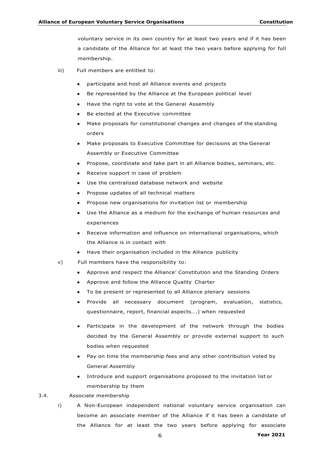voluntary service in its own country for at least two years and if it has been a candidate of the Alliance for at least the two years before applying for full membership.

- iii) Full members are entitled to:
	- participate and host all Alliance events and projects
	- Be represented by the Alliance at the European political level
	- Have the right to vote at the General Assembly
	- Be elected at the Executive committee
	- Make proposals for constitutional changes and changes of the standing orders
	- Make proposals to Executive Committee for decisions at the General Assembly or Executive Committee
	- Propose, coordinate and take part in all Alliance bodies, seminars, etc.
	- Receive support in case of problem
	- Use the centralized database network and website
	- Propose updates of all technical matters
	- Propose new organisations for invitation list or membership
	- Use the Alliance as a medium for the exchange of human resources and experiences
	- Receive information and influence on international organisations, which the Alliance is in contact with
	- Have their organisation included in the Alliance publicity
- v) Full members have the responsibility to:
	- Approve and respect the Alliance' Constitution and the Standing Orders
	- Approve and follow the Alliance Quality Charter
	- To be present or represented to all Alliance plenary sessions
	- Provide all necessary document (program, evaluation, statistics, questionnaire, report, financial aspects….) when requested
	- Participate in the development of the network through the bodies decided by the General Assembly or provide external support to such bodies when requested
	- Pay on time the membership fees and any other contribution voted by General Assembly
	- Introduce and support organisations proposed to the invitation list or membership by them
- 3.4. Associate membership
	- i) A Non-European independent national voluntary service organisation can become an associate member of the Alliance if it has been a candidate of the Alliance for at least the two years before applying for associate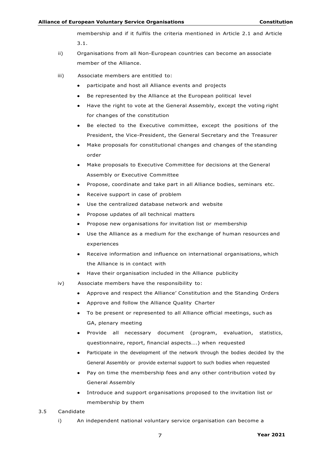membership and if it fulfils the criteria mentioned in Article 2.1 and Article 3.1.

- ii) Organisations from all Non-European countries can become an associate member of the Alliance.
- iii) Associate members are entitled to:
	- participate and host all Alliance events and projects
	- Be represented by the Alliance at the European political level
	- Have the right to vote at the General Assembly, except the voting right for changes of the constitution
	- Be elected to the Executive committee, except the positions of the President, the Vice-President, the General Secretary and the Treasurer
	- Make proposals for constitutional changes and changes of the standing order
	- Make proposals to Executive Committee for decisions at the General Assembly or Executive Committee
	- Propose, coordinate and take part in all Alliance bodies, seminars etc.
	- Receive support in case of problem
	- Use the centralized database network and website
	- Propose updates of all technical matters
	- Propose new organisations for invitation list or membership
	- Use the Alliance as a medium for the exchange of human resources and experiences
	- Receive information and influence on international organisations, which the Alliance is in contact with
	- Have their organisation included in the Alliance publicity
- iv) Associate members have the responsibility to:
	- Approve and respect the Alliance' Constitution and the Standing Orders
	- Approve and follow the Alliance Quality Charter
	- To be present or represented to all Alliance official meetings, such as GA, plenary meeting
	- Provide all necessary document (program, evaluation, statistics, questionnaire, report, financial aspects….) when requested
	- Participate in the development of the network through the bodies decided by the General Assembly or provide external support to such bodies when requested
	- Pay on time the membership fees and any other contribution voted by General Assembly
	- Introduce and support organisations proposed to the invitation list or membership by them
- 3.5 Candidate
	- i) An independent national voluntary service organisation can become a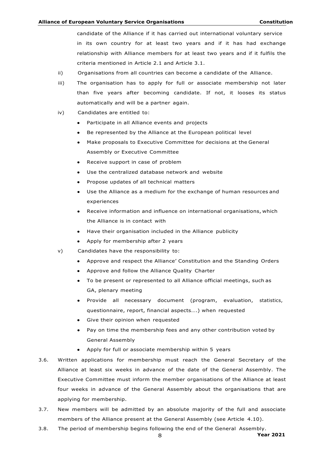candidate of the Alliance if it has carried out international voluntary service in its own country for at least two years and if it has had exchange relationship with Alliance members for at least two years and if it fulfils the criteria mentioned in Article 2.1 and Article 3.1.

- ii) Organisations from all countries can become a candidate of the Alliance.
- iii) The organisation has to apply for full or associate membership not later than five years after becoming candidate. If not, it looses its status automatically and will be a partner again.
- iv) Candidates are entitled to:
	- Participate in all Alliance events and projects
	- Be represented by the Alliance at the European political level
	- Make proposals to Executive Committee for decisions at the General Assembly or Executive Committee
	- Receive support in case of problem
	- Use the centralized database network and website
	- Propose updates of all technical matters
	- Use the Alliance as a medium for the exchange of human resources and experiences
	- Receive information and influence on international organisations, which the Alliance is in contact with
	- Have their organisation included in the Alliance publicity
	- Apply for membership after 2 years
- v) Candidates have the responsibility to:
	- Approve and respect the Alliance' Constitution and the Standing Orders
	- Approve and follow the Alliance Quality Charter
	- To be present or represented to all Alliance official meetings, such as GA, plenary meeting
	- Provide all necessary document (program, evaluation, statistics, questionnaire, report, financial aspects….) when requested
	- Give their opinion when requested
	- Pay on time the membership fees and any other contribution voted by General Assembly
	- Apply for full or associate membership within 5 years
- 3.6. Written applications for membership must reach the General Secretary of the Alliance at least six weeks in advance of the date of the General Assembly. The Executive Committee must inform the member organisations of the Alliance at least four weeks in advance of the General Assembly about the organisations that are applying for membership.
- 3.7. New members will be admitted by an absolute majority of the full and associate members of the Alliance present at the General Assembly (see Article 4.10).
- 8 **Year 2021** 3.8. The period of membership begins following the end of the General Assembly.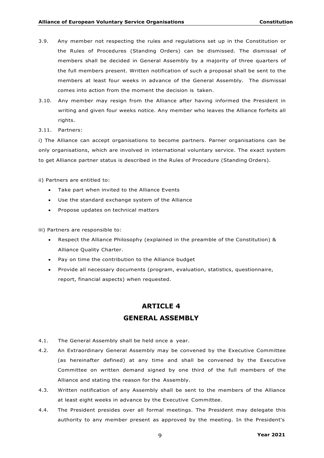- 3.9. Any member not respecting the rules and regulations set up in the Constitution or the Rules of Procedures (Standing Orders) can be dismissed. The dismissal of members shall be decided in General Assembly by a majority of three quarters of the full members present. Written notification of such a proposal shall be sent to the members at least four weeks in advance of the General Assembly. The dismissal comes into action from the moment the decision is taken.
- 3.10. Any member may resign from the Alliance after having informed the President in writing and given four weeks notice. Any member who leaves the Alliance forfeits all rights.
- 3.11. Partners:

i) The Alliance can accept organisations to become partners. Parner organisations can be only organisations, which are involved in international voluntary service. The exact system to get Alliance partner status is described in the Rules of Procedure (Standing Orders).

- ii) Partners are entitled to:
	- Take part when invited to the Alliance Events
	- Use the standard exchange system of the Alliance
	- Propose updates on technical matters

iii) Partners are responsible to:

- Respect the Alliance Philosophy (explained in the preamble of the Constitution) & Alliance Quality Charter.
- Pay on time the contribution to the Alliance budget
- Provide all necessary documents (program, evaluation, statistics, questionnaire, report, financial aspects) when requested.

# **ARTICLE 4 GENERAL ASSEMBLY**

- 4.1. The General Assembly shall be held once a year.
- 4.2. An Extraordinary General Assembly may be convened by the Executive Committee (as hereinafter defined) at any time and shall be convened by the Executive Committee on written demand signed by one third of the full members of the Alliance and stating the reason for the Assembly.
- 4.3. Written notification of any Assembly shall be sent to the members of the Alliance at least eight weeks in advance by the Executive Committee.
- 4.4. The President presides over all formal meetings. The President may delegate this authority to any member present as approved by the meeting. In the President's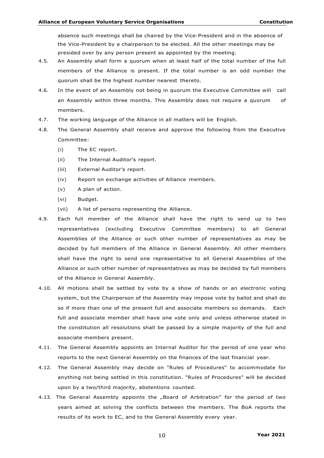absence such meetings shall be chaired by the Vice-President and in the absence of the Vice-President by a chairperson to be elected. All the other meetings may be presided over by any person present as appointed by the meeting.

- 4.5. An Assembly shall form a quorum when at least half of the total number of the full members of the Alliance is present. If the total number is an odd number the quorum shall be the highest number nearest thereto.
- 4.6. In the event of an Assembly not being in quorum the Executive Committee will call an Assembly within three months. This Assembly does not require a quorum of members.
- 4.7. The working language of the Alliance in all matters will be English.
- 4.8. The General Assembly shall receive and approve the following from the Executive Committee:
	- (i) The EC report.
	- (ii) The Internal Auditor's report.
	- (iii) External Auditor's report.
	- (iv) Report on exchange activities of Alliance members.
	- (v) A plan of action.
	- (vi) Budget.
	- (vii) A list of persons representing the Alliance.
- 4.9. Each full member of the Alliance shall have the right to send up to two representatives (excluding Executive Committee members) to all General Assemblies of the Alliance or such other number of representatives as may be decided by full members of the Alliance in General Assembly. All other members shall have the right to send one representative to all General Assemblies of the Alliance or such other number of representatives as may be decided by full members of the Alliance in General Assembly.
- 4.10. All motions shall be settled by vote by a show of hands or an electronic voting system, but the Chairperson of the Assembly may impose vote by ballot and shall do so if more than one of the present full and associate members so demands. Each full and associate member shall have one vote only and unless otherwise stated in the constitution all resolutions shall be passed by a simple majority of the full and associate members present.
- 4.11. The General Assembly appoints an Internal Auditor for the period of one year who reports to the next General Assembly on the finances of the last financial year.
- 4.12. The General Assembly may decide on "Rules of Procedures" to accommodate for anything not being settled in this constitution. "Rules of Procedures" will be decided upon by a two/third majority, abstentions counted.
- 4.13. The General Assembly appoints the "Board of Arbitration" for the period of two years aimed at solving the conflicts between the members. The BoA reports the results of its work to EC, and to the General Assembly every year.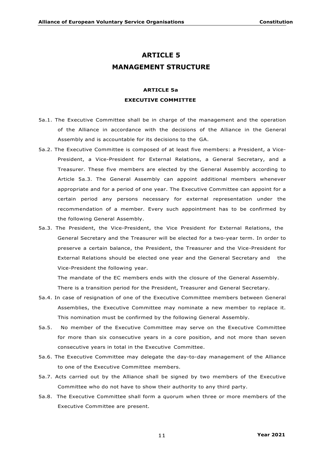## **ARTICLE 5 MANAGEMENT STRUCTURE**

## **ARTICLE 5a EXECUTIVE COMMITTEE**

- 5a.1. The Executive Committee shall be in charge of the management and the operation of the Alliance in accordance with the decisions of the Alliance in the General Assembly and is accountable for its decisions to the GA.
- 5a.2. The Executive Committee is composed of at least five members: a President, a Vice-President, a Vice-President for External Relations, a General Secretary, and a Treasurer. These five members are elected by the General Assembly according to Article 5a.3. The General Assembly can appoint additional members whenever appropriate and for a period of one year. The Executive Committee can appoint for a certain period any persons necessary for external representation under the recommendation of a member. Every such appointment has to be confirmed by the following General Assembly.
- 5a.3. The President, the Vice-President, the Vice President for External Relations, the General Secretary and the Treasurer will be elected for a two-year term. In order to preserve a certain balance, the President, the Treasurer and the Vice-President for External Relations should be elected one year and the General Secretary and the Vice-President the following year.

The mandate of the EC members ends with the closure of the General Assembly. There is a transition period for the President, Treasurer and General Secretary.

- 5a.4. In case of resignation of one of the Executive Committee members between General Assemblies, the Executive Committee may nominate a new member to replace it. This nomination must be confirmed by the following General Assembly.
- 5a.5. No member of the Executive Committee may serve on the Executive Committee for more than six consecutive years in a core position, and not more than seven consecutive years in total in the Executive Committee.
- 5a.6. The Executive Committee may delegate the day-to-day management of the Alliance to one of the Executive Committee members.
- 5a.7. Acts carried out by the Alliance shall be signed by two members of the Executive Committee who do not have to show their authority to any third party.
- 5a.8. The Executive Committee shall form a quorum when three or more members of the Executive Committee are present.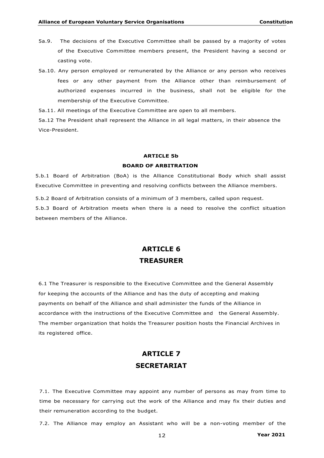- 5a.9. The decisions of the Executive Committee shall be passed by a majority of votes of the Executive Committee members present, the President having a second or casting vote.
- 5a.10. Any person employed or remunerated by the Alliance or any person who receives fees or any other payment from the Alliance other than reimbursement of authorized expenses incurred in the business, shall not be eligible for the membership of the Executive Committee.

5a.11. All meetings of the Executive Committee are open to all members.

5a.12 The President shall represent the Alliance in all legal matters, in their absence the Vice-President.

#### **ARTICLE 5b**

#### **BOARD OF ARBITRATION**

5.b.1 Board of Arbitration (BoA) is the Alliance Constitutional Body which shall assist Executive Committee in preventing and resolving conflicts between the Alliance members.

5.b.2 Board of Arbitration consists of a minimum of 3 members, called upon request.

5.b.3 Board of Arbitration meets when there is a need to resolve the conflict situation between members of the Alliance.

## **ARTICLE 6 TREASURER**

6.1 The Treasurer is responsible to the Executive Committee and the General Assembly for keeping the accounts of the Alliance and has the duty of accepting and making payments on behalf of the Alliance and shall administer the funds of the Alliance in accordance with the instructions of the Executive Committee and the General Assembly. The member organization that holds the Treasurer position hosts the Financial Archives in its registered office.

## **ARTICLE 7 SECRETARIAT**

7.1. The Executive Committee may appoint any number of persons as may from time to time be necessary for carrying out the work of the Alliance and may fix their duties and their remuneration according to the budget.

7.2. The Alliance may employ an Assistant who will be a non-voting member of the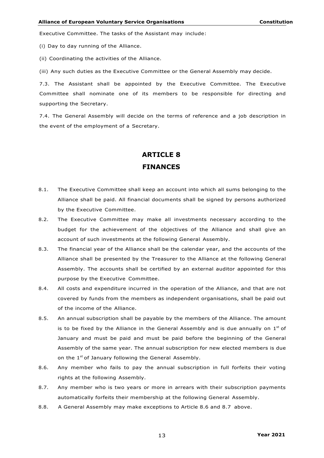Executive Committee. The tasks of the Assistant may include:

(i) Day to day running of the Alliance.

(ii) Coordinating the activities of the Alliance.

(iii) Any such duties as the Executive Committee or the General Assembly may decide.

7.3. The Assistant shall be appointed by the Executive Committee. The Executive Committee shall nominate one of its members to be responsible for directing and supporting the Secretary.

7.4. The General Assembly will decide on the terms of reference and a job description in the event of the employment of a Secretary.

# **ARTICLE 8 FINANCES**

- 8.1. The Executive Committee shall keep an account into which all sums belonging to the Alliance shall be paid. All financial documents shall be signed by persons authorized by the Executive Committee.
- 8.2. The Executive Committee may make all investments necessary according to the budget for the achievement of the objectives of the Alliance and shall give an account of such investments at the following General Assembly.
- 8.3. The financial year of the Alliance shall be the calendar year, and the accounts of the Alliance shall be presented by the Treasurer to the Alliance at the following General Assembly. The accounts shall be certified by an external auditor appointed for this purpose by the Executive Committee.
- 8.4. All costs and expenditure incurred in the operation of the Alliance, and that are not covered by funds from the members as independent organisations, shall be paid out of the income of the Alliance.
- 8.5. An annual subscription shall be payable by the members of the Alliance. The amount is to be fixed by the Alliance in the General Assembly and is due annually on  $1<sup>st</sup>$  of January and must be paid and must be paid before the beginning of the General Assembly of the same year. The annual subscription for new elected members is due on the  $1<sup>st</sup>$  of January following the General Assembly.
- 8.6. Any member who fails to pay the annual subscription in full forfeits their voting rights at the following Assembly.
- 8.7. Any member who is two years or more in arrears with their subscription payments automatically forfeits their membership at the following General Assembly.
- 8.8. A General Assembly may make exceptions to Article 8.6 and 8.7 above.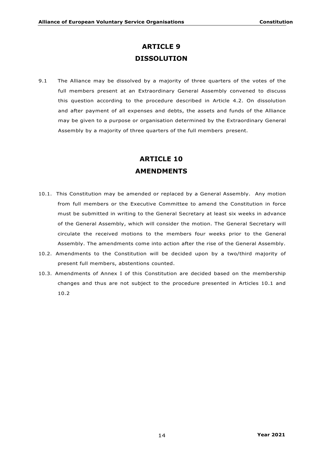## **ARTICLE 9 DISSOLUTION**

9.1 The Alliance may be dissolved by a majority of three quarters of the votes of the full members present at an Extraordinary General Assembly convened to discuss this question according to the procedure described in Article 4.2. On dissolution and after payment of all expenses and debts, the assets and funds of the Alliance may be given to a purpose or organisation determined by the Extraordinary General Assembly by a majority of three quarters of the full members present.

# **ARTICLE 10 AMENDMENTS**

- 10.1. This Constitution may be amended or replaced by a General Assembly. Any motion from full members or the Executive Committee to amend the Constitution in force must be submitted in writing to the General Secretary at least six weeks in advance of the General Assembly, which will consider the motion. The General Secretary will circulate the received motions to the members four weeks prior to the General Assembly. The amendments come into action after the rise of the General Assembly.
- 10.2. Amendments to the Constitution will be decided upon by a two/third majority of present full members, abstentions counted.
- 10.3. Amendments of Annex I of this Constitution are decided based on the membership changes and thus are not subject to the procedure presented in Articles 10.1 and 10.2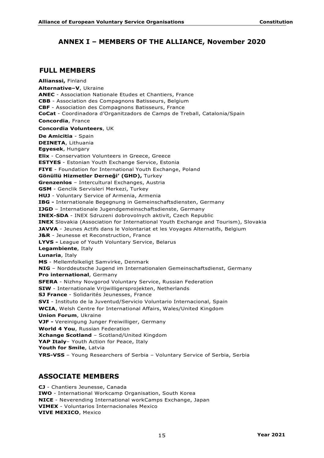## **ANNEX I – MEMBERS OF THE ALLIANCE, November 2020**

### **FULL MEMBERS**

**Allianssi,** Finland **Alternative–V**, Ukraine **ANEC** - Association Nationale Etudes et Chantiers, France **CBB** - Association des Compagnons Batisseurs, Belgium **CBF** - Association des Compagnons Batisseurs, France **CoCat** - Coordinadora d'Organitzadors de Camps de Treball, Catalonia/Spain **Concordia**, France **Concordia Volunteers**, UK **De Amicitia** - Spain **DEINETA**, Lithuania **Egyesek**, Hungary **Elix** - Conservation Volunteers in Greece, Greece **ESTYES** - Estonian Youth Exchange Service, Estonia **FIYE** - Foundation for International Youth Exchange, Poland **Gönüllü Hizmetler Derneği' (GHD),** Turkey **Grenzenlos** – Intercultural Exchanges, Austria **GSM** - Genclik Servisleri Merkezi, Turkey **HUJ** - Voluntary Service of Armenia, Armenia **IBG -** Internationale Begegnung in Gemeinschaftsdiensten, Germany **IJGD** – Internationale Jugendgemeinschaftsdienste, Germany **INEX-SDA** - INEX Sdruzeni dobrovolnych aktivit, Czech Republic **INEX** Slovakia (Association for International Youth Exchange and Tourism), Slovakia **JAVVA** - Jeunes Actifs dans le Volontariat et les Voyages Alternatifs, Belgium **J&R** - Jeunesse et Reconstruction, France **LYVS -** League of Youth Voluntary Service, Belarus **Legambiente**, Italy **Lunaria**, Italy **MS** - Mellemfolkeligt Samvirke, Denmark **NIG** – Norddeutsche Jugend im Internationalen Gemeinschaftsdienst, Germany **Pro international**, Germany **SFERA** - Nizhny Novgorod Voluntary Service, Russian Federation **SIW** - Internationale Vrijwilligersprojekten, Netherlands **SJ France** - Solidarités Jeunesses, France **SVI** - Instituto de la Juventud/Servicio Voluntario Internacional, Spain **WCIA**, Welsh Centre for International Affairs, Wales/United Kingdom **Union Forum**, Ukraine **VJF -** Vereinigung Junger Freiwilliger, Germany **World 4 You**, Russian Federation **Xchange Scotland** – Scotland/United Kingdom **YAP Italy**– Youth Action for Peace, Italy **Youth for Smile**, Latvia **YRS-VSS** – Young Researchers of Serbia – Voluntary Service of Serbia, Serbia

### **ASSOCIATE MEMBERS**

**CJ** - Chantiers Jeunesse, Canada **IWO** - International Workcamp Organisation, South Korea **NICE** - Neverending International workCamps Exchange, Japan **VIMEX** - Voluntarios Internacionales Mexico **VIVE MEXICO**, Mexico